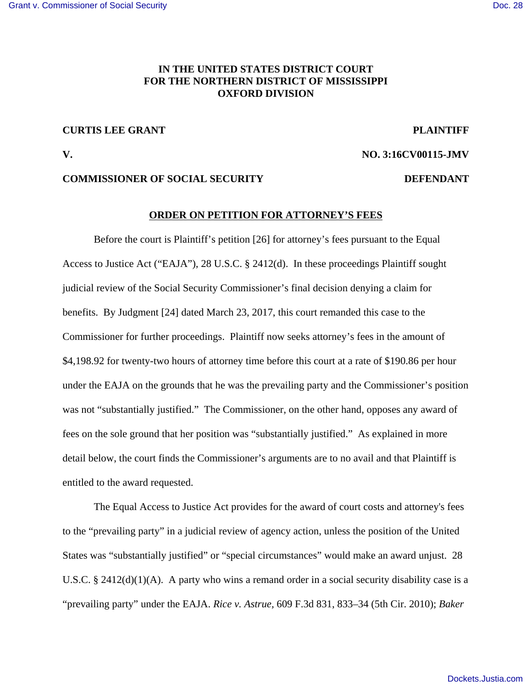# **IN THE UNITED STATES DISTRICT COURT FOR THE NORTHERN DISTRICT OF MISSISSIPPI OXFORD DIVISION**

### **CURTIS LEE GRANT PLAINTIFF**

## **V. NO. 3:16CV00115-JMV**

#### **COMMISSIONER OF SOCIAL SECURITY DEFENDANT**

#### **ORDER ON PETITION FOR ATTORNEY'S FEES**

Before the court is Plaintiff's petition [26] for attorney's fees pursuant to the Equal Access to Justice Act ("EAJA"), 28 U.S.C. § 2412(d). In these proceedings Plaintiff sought judicial review of the Social Security Commissioner's final decision denying a claim for benefits. By Judgment [24] dated March 23, 2017, this court remanded this case to the Commissioner for further proceedings. Plaintiff now seeks attorney's fees in the amount of \$4,198.92 for twenty-two hours of attorney time before this court at a rate of \$190.86 per hour under the EAJA on the grounds that he was the prevailing party and the Commissioner's position was not "substantially justified." The Commissioner, on the other hand, opposes any award of fees on the sole ground that her position was "substantially justified." As explained in more detail below, the court finds the Commissioner's arguments are to no avail and that Plaintiff is entitled to the award requested.

The Equal Access to Justice Act provides for the award of court costs and attorney's fees to the "prevailing party" in a judicial review of agency action, unless the position of the United States was "substantially justified" or "special circumstances" would make an award unjust. 28 U.S.C. § 2412(d)(1)(A). A party who wins a remand order in a social security disability case is a "prevailing party" under the EAJA. *Rice v. Astrue,* 609 F.3d 831, 833–34 (5th Cir. 2010); *Baker*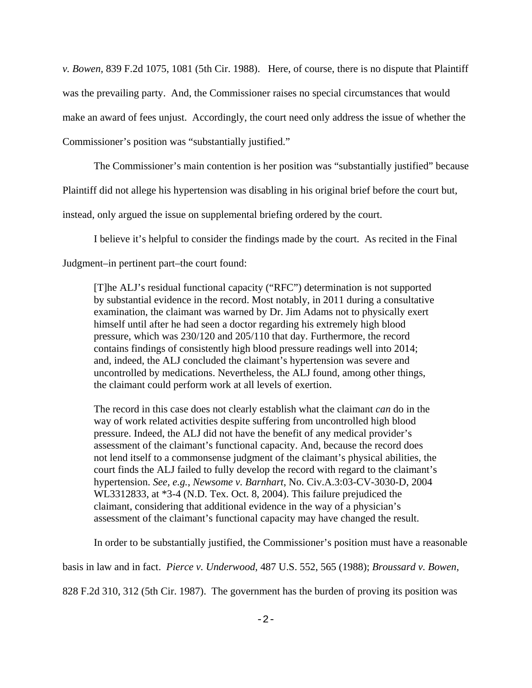*v. Bowen,* 839 F.2d 1075, 1081 (5th Cir. 1988). Here, of course, there is no dispute that Plaintiff was the prevailing party. And, the Commissioner raises no special circumstances that would make an award of fees unjust. Accordingly, the court need only address the issue of whether the Commissioner's position was "substantially justified."

The Commissioner's main contention is her position was "substantially justified" because

Plaintiff did not allege his hypertension was disabling in his original brief before the court but,

instead, only argued the issue on supplemental briefing ordered by the court.

I believe it's helpful to consider the findings made by the court. As recited in the Final

Judgment–in pertinent part–the court found:

[T]he ALJ's residual functional capacity ("RFC") determination is not supported by substantial evidence in the record. Most notably, in 2011 during a consultative examination, the claimant was warned by Dr. Jim Adams not to physically exert himself until after he had seen a doctor regarding his extremely high blood pressure, which was 230/120 and 205/110 that day. Furthermore, the record contains findings of consistently high blood pressure readings well into 2014; and, indeed, the ALJ concluded the claimant's hypertension was severe and uncontrolled by medications. Nevertheless, the ALJ found, among other things, the claimant could perform work at all levels of exertion.

The record in this case does not clearly establish what the claimant *can* do in the way of work related activities despite suffering from uncontrolled high blood pressure. Indeed, the ALJ did not have the benefit of any medical provider's assessment of the claimant's functional capacity. And, because the record does not lend itself to a commonsense judgment of the claimant's physical abilities, the court finds the ALJ failed to fully develop the record with regard to the claimant's hypertension. *See, e.g.*, *Newsome v. Barnhart*, No. Civ.A.3:03-CV-3030-D, 2004 WL3312833, at \*3-4 (N.D. Tex. Oct. 8, 2004). This failure prejudiced the claimant, considering that additional evidence in the way of a physician's assessment of the claimant's functional capacity may have changed the result.

In order to be substantially justified, the Commissioner's position must have a reasonable

basis in law and in fact. *Pierce v. Underwood*, 487 U.S. 552, 565 (1988); *Broussard v. Bowen*,

828 F.2d 310, 312 (5th Cir. 1987). The government has the burden of proving its position was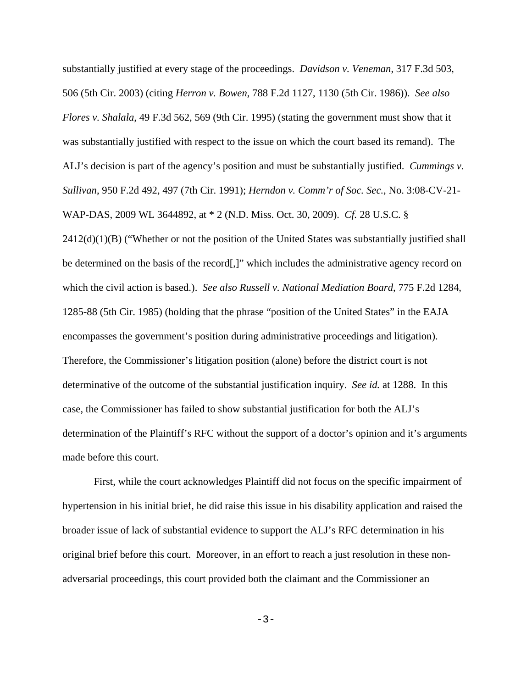substantially justified at every stage of the proceedings. *Davidson v. Veneman*, 317 F.3d 503, 506 (5th Cir. 2003) (citing *Herron v. Bowen*, 788 F.2d 1127, 1130 (5th Cir. 1986)). *See also Flores v. Shalala*, 49 F.3d 562, 569 (9th Cir. 1995) (stating the government must show that it was substantially justified with respect to the issue on which the court based its remand). The ALJ's decision is part of the agency's position and must be substantially justified. *Cummings v. Sullivan*, 950 F.2d 492, 497 (7th Cir. 1991); *Herndon v. Comm'r of Soc. Sec.*, No. 3:08-CV-21- WAP-DAS, 2009 WL 3644892, at \* 2 (N.D. Miss. Oct. 30, 2009). *Cf.* 28 U.S.C. § 2412(d)(1)(B) ("Whether or not the position of the United States was substantially justified shall be determined on the basis of the record[,]" which includes the administrative agency record on which the civil action is based.). *See also Russell v. National Mediation Board*, 775 F.2d 1284, 1285-88 (5th Cir. 1985) (holding that the phrase "position of the United States" in the EAJA encompasses the government's position during administrative proceedings and litigation). Therefore, the Commissioner's litigation position (alone) before the district court is not determinative of the outcome of the substantial justification inquiry. *See id.* at 1288. In this case, the Commissioner has failed to show substantial justification for both the ALJ's determination of the Plaintiff's RFC without the support of a doctor's opinion and it's arguments made before this court.

First, while the court acknowledges Plaintiff did not focus on the specific impairment of hypertension in his initial brief, he did raise this issue in his disability application and raised the broader issue of lack of substantial evidence to support the ALJ's RFC determination in his original brief before this court. Moreover, in an effort to reach a just resolution in these nonadversarial proceedings, this court provided both the claimant and the Commissioner an

 $-3-$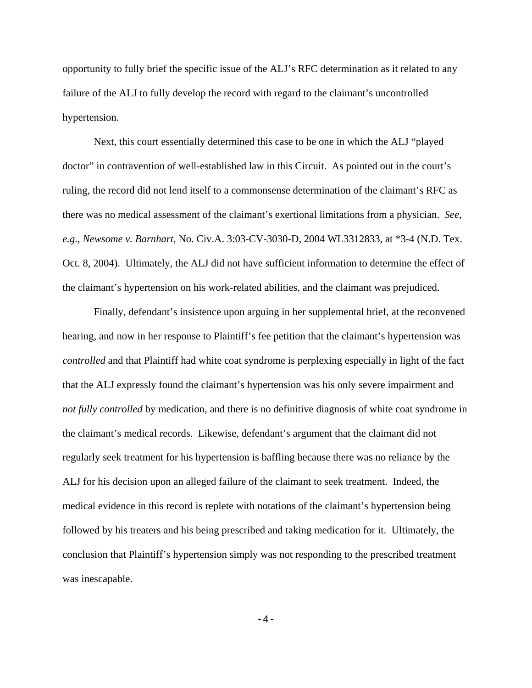opportunity to fully brief the specific issue of the ALJ's RFC determination as it related to any failure of the ALJ to fully develop the record with regard to the claimant's uncontrolled hypertension.

Next, this court essentially determined this case to be one in which the ALJ "played doctor" in contravention of well-established law in this Circuit. As pointed out in the court's ruling, the record did not lend itself to a commonsense determination of the claimant's RFC as there was no medical assessment of the claimant's exertional limitations from a physician. *See, e.g.*, *Newsome v. Barnhart*, No. Civ.A. 3:03-CV-3030-D, 2004 WL3312833, at \*3-4 (N.D. Tex. Oct. 8, 2004). Ultimately, the ALJ did not have sufficient information to determine the effect of the claimant's hypertension on his work-related abilities, and the claimant was prejudiced.

Finally, defendant's insistence upon arguing in her supplemental brief, at the reconvened hearing, and now in her response to Plaintiff's fee petition that the claimant's hypertension was *controlled* and that Plaintiff had white coat syndrome is perplexing especially in light of the fact that the ALJ expressly found the claimant's hypertension was his only severe impairment and *not fully controlled* by medication, and there is no definitive diagnosis of white coat syndrome in the claimant's medical records. Likewise, defendant's argument that the claimant did not regularly seek treatment for his hypertension is baffling because there was no reliance by the ALJ for his decision upon an alleged failure of the claimant to seek treatment. Indeed, the medical evidence in this record is replete with notations of the claimant's hypertension being followed by his treaters and his being prescribed and taking medication for it. Ultimately, the conclusion that Plaintiff's hypertension simply was not responding to the prescribed treatment was inescapable.

 $-4-$